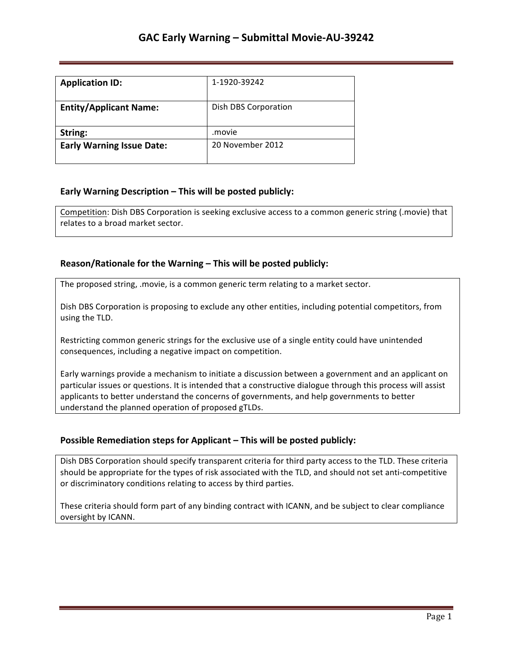| <b>Application ID:</b>           | 1-1920-39242         |
|----------------------------------|----------------------|
| <b>Entity/Applicant Name:</b>    | Dish DBS Corporation |
| String:                          | movie.               |
| <b>Early Warning Issue Date:</b> | 20 November 2012     |

### **Early Warning Description – This will be posted publicly:**

Competition: Dish DBS Corporation is seeking exclusive access to a common generic string (.movie) that relates to a broad market sector.

### **Reason/Rationale for the Warning – This will be posted publicly:**

The proposed string, .movie, is a common generic term relating to a market sector.

Dish DBS Corporation is proposing to exclude any other entities, including potential competitors, from using the TLD.

Restricting common generic strings for the exclusive use of a single entity could have unintended consequences, including a negative impact on competition.

Early warnings provide a mechanism to initiate a discussion between a government and an applicant on particular issues or questions. It is intended that a constructive dialogue through this process will assist applicants to better understand the concerns of governments, and help governments to better understand the planned operation of proposed gTLDs.

#### **Possible Remediation steps for Applicant – This will be posted publicly:**

Dish DBS Corporation should specify transparent criteria for third party access to the TLD. These criteria should be appropriate for the types of risk associated with the TLD, and should not set anti-competitive or discriminatory conditions relating to access by third parties.

These criteria should form part of any binding contract with ICANN, and be subject to clear compliance oversight by ICANN.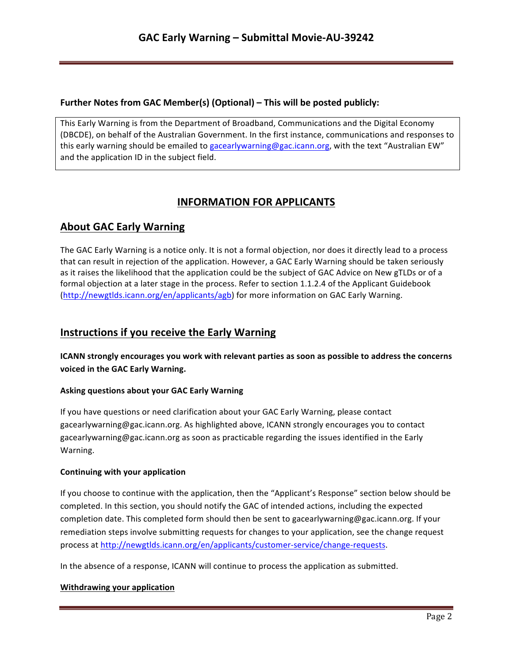## **Further Notes from GAC Member(s) (Optional) – This will be posted publicly:**

This Early Warning is from the Department of Broadband, Communications and the Digital Economy (DBCDE), on behalf of the Australian Government. In the first instance, communications and responses to this early warning should be emailed to gacearlywarning@gac.icann.org, with the text "Australian EW" and the application ID in the subject field.

# **INFORMATION FOR APPLICANTS**

# **About GAC Early Warning**

The GAC Early Warning is a notice only. It is not a formal objection, nor does it directly lead to a process that can result in rejection of the application. However, a GAC Early Warning should be taken seriously as it raises the likelihood that the application could be the subject of GAC Advice on New gTLDs or of a formal objection at a later stage in the process. Refer to section 1.1.2.4 of the Applicant Guidebook (http://newgtlds.icann.org/en/applicants/agb) for more information on GAC Early Warning.

# **Instructions if you receive the Early Warning**

**ICANN** strongly encourages you work with relevant parties as soon as possible to address the concerns voiced in the GAC Early Warning.

## **Asking questions about your GAC Early Warning**

If you have questions or need clarification about your GAC Early Warning, please contact gacearlywarning@gac.icann.org. As highlighted above, ICANN strongly encourages you to contact gacearlywarning@gac.icann.org as soon as practicable regarding the issues identified in the Early Warning. 

#### **Continuing with your application**

If you choose to continue with the application, then the "Applicant's Response" section below should be completed. In this section, you should notify the GAC of intended actions, including the expected completion date. This completed form should then be sent to gacearlywarning@gac.icann.org. If your remediation steps involve submitting requests for changes to your application, see the change request process at http://newgtlds.icann.org/en/applicants/customer-service/change-requests.

In the absence of a response, ICANN will continue to process the application as submitted.

#### **Withdrawing your application**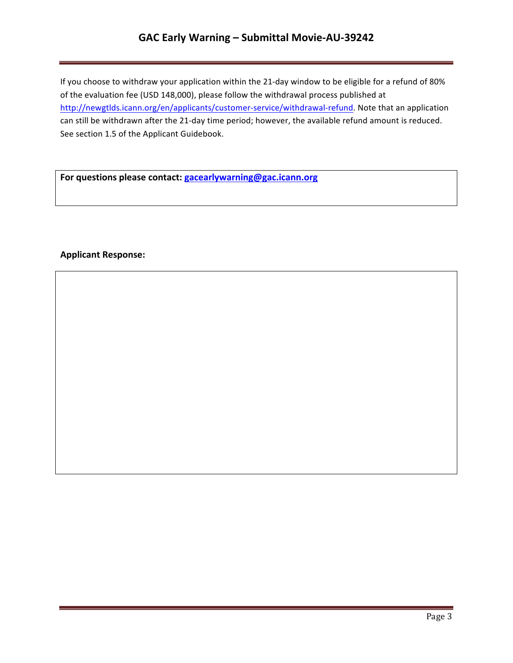# **GAC Early Warning – Submittal Movie-AU-39242**

If you choose to withdraw your application within the 21-day window to be eligible for a refund of 80% of the evaluation fee (USD 148,000), please follow the withdrawal process published at http://newgtlds.icann.org/en/applicants/customer-service/withdrawal-refund. Note that an application can still be withdrawn after the 21-day time period; however, the available refund amount is reduced. See section 1.5 of the Applicant Guidebook.

For questions please contact: **gacearlywarning@gac.icann.org** 

### **Applicant Response:**